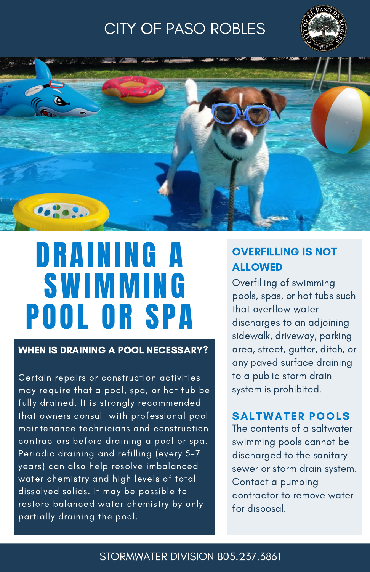## CITY OF PASO ROBLES





# DRAINING A **SWIMMING** POOL OR SPA

#### WHEN IS DRAINING A POOL NECESSARY?

Certain repairs or construction activities may require that a pool, spa, or hot tub be fully drained. It is strongly recommended that owners consult with professional pool maintenance technicians and construction contractors before draining a pool or spa. Periodic draining and refilling (every 5-7 years) can also help resolve imbalanced water chemistry and high levels of total dissolved solids. It may be possible to restore balanced water chemistry by only partially draining the pool.

### OVERFILLING IS NOT ALLOWED

Overfilling of swimming pools, spas, or hot tubs such that overflow water discharges to an adjoining sidewalk, driveway, parking area, street, gutter, ditch, or any paved surface draining to a public storm drain system is prohibited.

#### SALTWATER POOLS

The contents of a saltwater swimming pools cannot be discharged to the sanitary sewer or storm drain system. Contact a pumping contractor to remove water for disposal.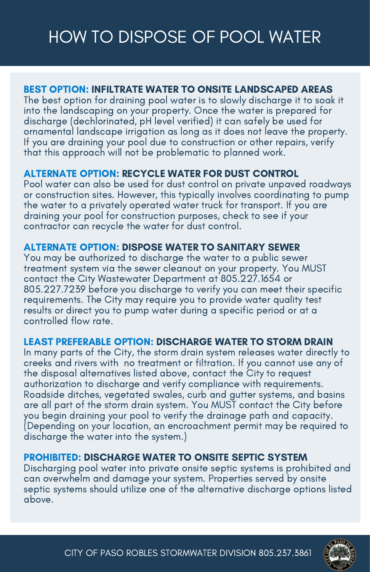# HOW TO DISPOSE OF POOL WATER

#### BEST OPTION: INFILTRATE WATER TO ONSITE LANDSCAPED AREAS

The best option for draining pool water is to slowly discharge it to soak it into the landscaping on your property. Once the water is prepared for discharge (dechlorinated, pH level verified) it can safely be used for ornamental landscape irrigation as long as it does not leave the property. If you are draining your pool due to construction or other repairs, verify that this approach will not be problematic to planned work.

#### ALTERNATE OPTION: RECYCLE WATER FOR DUST CONTROL

Pool water can also be used for dust control on private unpaved roadways or construction sites. However, this typically involves coordinating to pump the water to a privately operated water truck for transport. If you are draining your pool for construction purposes, check to see if your contractor can recycle the water for dust control.

#### ALTERNATE OPTION: DISPOSE WATER TO SANITARY SEWER

You may be authorized to discharge the water to a public sewer treatment system via the sewer cleanout on your property. You MUST contact the City Wastewater Department at 805.227.1654 or 805.227.7239 before you discharge to verify you can meet their specific requirements. The City may require you to provide water quality test results or direct you to pump water during a specific period or at a controlled flow rate.

#### LEAST PREFERABLE OPTION: DISCHARGE WATER TO STORM DRAIN

In many parts of the City, the storm drain system releases water directly to creeks and rivers with no treatment or filtration. If you cannot use any of the disposal alternatives listed above, contact the City to request authorization to discharge and verify compliance with requirements. Roadside ditches, vegetated swales, curb and gutter systems, and basins are all part of the storm drain system. You MUST contact the City before you begin draining your pool to verify the drainage path and capacity. (Depending on your location, an encroachment permit may be required to discharge the water into the system.)

#### PROHIBITED: DISCHARGE WATER TO ONSITE SEPTIC SYSTEM

Discharging pool water into private onsite septic systems is prohibited and can overwhelm and damage your system. Properties served by onsite septic systems should utilize one of the alternative discharge options listed above.

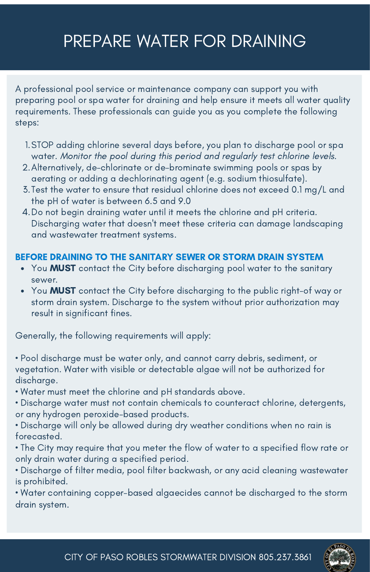# PREPARE WATER FOR DRAINING

A professional pool service or maintenance company can support you with preparing pool or spa water for draining and help ensure it meets all water quality requirements. These professionals can guide you as you complete the following steps:

- STOP adding chlorine several days before, you plan to discharge pool or spa 1. water. Monitor the pool during this period and regularly test chlorine levels.
- Alternatively, de-chlorinate or de-brominate swimming pools or spas by 2. aerating or adding a dechlorinating agent (e.g. sodium thiosulfate).
- Test the water to ensure that residual chlorine does not exceed 0.1 mg/L and 3. the pH of water is between 6.5 and 9.0
- Do not begin draining water until it meets the chlorine and pH criteria. 4. Discharging water that doesn't meet these criteria can damage landscaping and wastewater treatment systems.

#### BEFORE DRAINING TO THE SANITARY SEWER OR STORM DRAIN SYSTEM

- You MUST contact the City before discharging pool water to the sanitary sewer.
- You **MUST** contact the City before discharging to the public right-of way or storm drain system. Discharge to the system without prior authorization may result in significant fines.

Generally, the following requirements will apply:

• Pool discharge must be water only, and cannot carry debris, sediment, or vegetation. Water with visible or detectable algae will not be authorized for discharge.

• Water must meet the chlorine and pH standards above.

• Discharge water must not contain chemicals to counteract chlorine, detergents, or any hydrogen peroxide-based products.

- Discharge will only be allowed during dry weather conditions when no rain is forecasted.
- The City may require that you meter the flow of water to a specified flow rate or only drain water during a specified period.
- Discharge of filter media, pool filter backwash, or any acid cleaning wastewater is prohibited.

• Water containing copper-based algaecides cannot be discharged to the storm drain system.